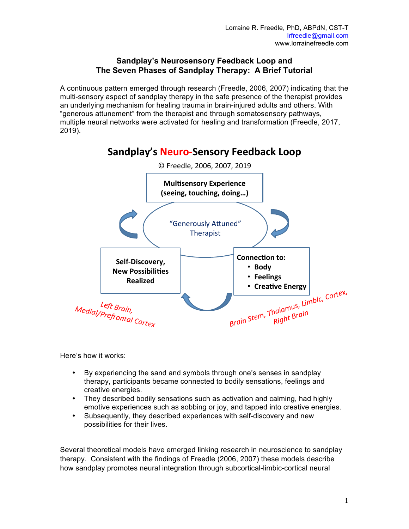## **Sandplay's Neurosensory Feedback Loop and The Seven Phases of Sandplay Therapy: A Brief Tutorial**

A continuous pattern emerged through research (Freedle, 2006, 2007) indicating that the multi-sensory aspect of sandplay therapy in the safe presence of the therapist provides an underlying mechanism for healing trauma in brain-injured adults and others. With "generous attunement" from the therapist and through somatosensory pathways, multiple neural networks were activated for healing and transformation (Freedle, 2017, 2019).

# **Sandplay's Neuro-Sensory Feedback Loop**



Here's how it works:

- By experiencing the sand and symbols through one's senses in sandplay therapy, participants became connected to bodily sensations, feelings and creative energies.
- They described bodily sensations such as activation and calming, had highly emotive experiences such as sobbing or joy, and tapped into creative energies.
- Subsequently, they described experiences with self-discovery and new possibilities for their lives.

Several theoretical models have emerged linking research in neuroscience to sandplay therapy. Consistent with the findings of Freedle (2006, 2007) these models describe how sandplay promotes neural integration through subcortical-limbic-cortical neural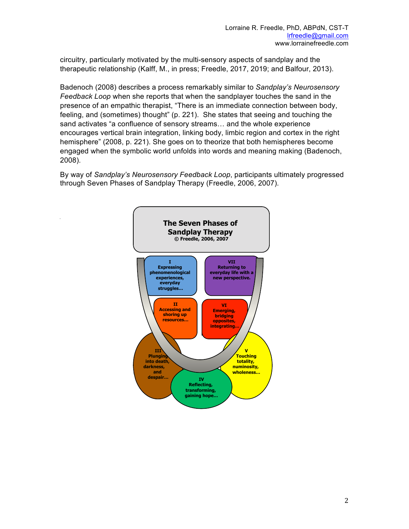circuitry, particularly motivated by the multi-sensory aspects of sandplay and the therapeutic relationship (Kalff, M., in press; Freedle, 2017, 2019; and Balfour, 2013).

Badenoch (2008) describes a process remarkably similar to *Sandplay's Neurosensory Feedback Loop* when she reports that when the sandplayer touches the sand in the presence of an empathic therapist, "There is an immediate connection between body, feeling, and (sometimes) thought" (p. 221). She states that seeing and touching the sand activates "a confluence of sensory streams… and the whole experience encourages vertical brain integration, linking body, limbic region and cortex in the right hemisphere" (2008, p. 221). She goes on to theorize that both hemispheres become engaged when the symbolic world unfolds into words and meaning making (Badenoch, 2008).

By way of *Sandplay's Neurosensory Feedback Loop*, participants ultimately progressed through Seven Phases of Sandplay Therapy (Freedle, 2006, 2007).

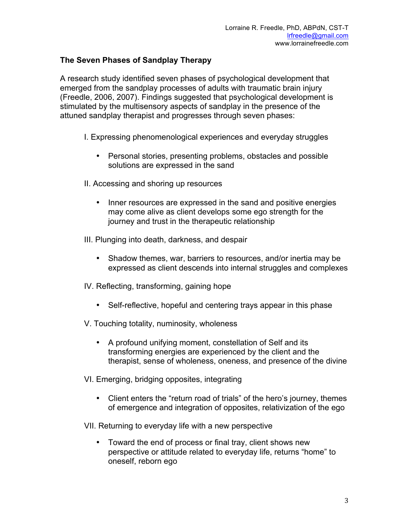## **The Seven Phases of Sandplay Therapy**

A research study identified seven phases of psychological development that emerged from the sandplay processes of adults with traumatic brain injury (Freedle, 2006, 2007). Findings suggested that psychological development is stimulated by the multisensory aspects of sandplay in the presence of the attuned sandplay therapist and progresses through seven phases:

- I. Expressing phenomenological experiences and everyday struggles
	- Personal stories, presenting problems, obstacles and possible solutions are expressed in the sand
- II. Accessing and shoring up resources
	- Inner resources are expressed in the sand and positive energies may come alive as client develops some ego strength for the journey and trust in the therapeutic relationship
- III. Plunging into death, darkness, and despair
	- Shadow themes, war, barriers to resources, and/or inertia may be expressed as client descends into internal struggles and complexes
- IV. Reflecting, transforming, gaining hope
	- Self-reflective, hopeful and centering trays appear in this phase
- V. Touching totality, numinosity, wholeness
	- A profound unifying moment, constellation of Self and its transforming energies are experienced by the client and the therapist, sense of wholeness, oneness, and presence of the divine
- VI. Emerging, bridging opposites, integrating
	- Client enters the "return road of trials" of the hero's journey, themes of emergence and integration of opposites, relativization of the ego
- VII. Returning to everyday life with a new perspective
	- Toward the end of process or final tray, client shows new perspective or attitude related to everyday life, returns "home" to oneself, reborn ego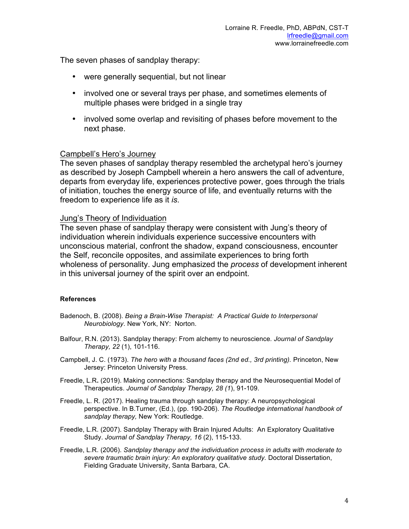The seven phases of sandplay therapy:

- were generally sequential, but not linear
- involved one or several trays per phase, and sometimes elements of multiple phases were bridged in a single tray
- involved some overlap and revisiting of phases before movement to the next phase.

## Campbell's Hero's Journey

The seven phases of sandplay therapy resembled the archetypal hero's journey as described by Joseph Campbell wherein a hero answers the call of adventure, departs from everyday life, experiences protective power, goes through the trials of initiation, touches the energy source of life, and eventually returns with the freedom to experience life as it *is*.

## Jung's Theory of Individuation

The seven phase of sandplay therapy were consistent with Jung's theory of individuation wherein individuals experience successive encounters with unconscious material, confront the shadow, expand consciousness, encounter the Self, reconcile opposites, and assimilate experiences to bring forth wholeness of personality. Jung emphasized the *process* of development inherent in this universal journey of the spirit over an endpoint.

## **References**

- Badenoch, B. (2008). *Being a Brain-Wise Therapist: A Practical Guide to Interpersonal Neurobiology*. New York, NY: Norton.
- Balfour, R.N. (2013). Sandplay therapy: From alchemy to neuroscience*. Journal of Sandplay Therapy, 22* (1), 101-116.
- Campbell, J. C. (1973). *The hero with a thousand faces (2nd ed., 3rd printing).* Princeton, New Jersey: Princeton University Press.
- Freedle, L.R**.** (2019). Making connections: Sandplay therapy and the Neurosequential Model of Therapeutics. *Journal of Sandplay Therapy, 28 (1*), 91-109.
- Freedle, L. R. (2017). Healing trauma through sandplay therapy: A neuropsychological perspective. In B.Turner, (Ed.), (pp. 190-206). *The Routledge international handbook of sandplay therapy,* New York: Routledge.
- Freedle, L.R. (2007). Sandplay Therapy with Brain Injured Adults: An Exploratory Qualitative Study. *Journal of Sandplay Therapy, 16* (2), 115-133.
- Freedle, L.R. (2006). *Sandplay therapy and the individuation process in adults with moderate to*  severe traumatic brain injury: An exploratory qualitative study. Doctoral Dissertation, Fielding Graduate University, Santa Barbara, CA.